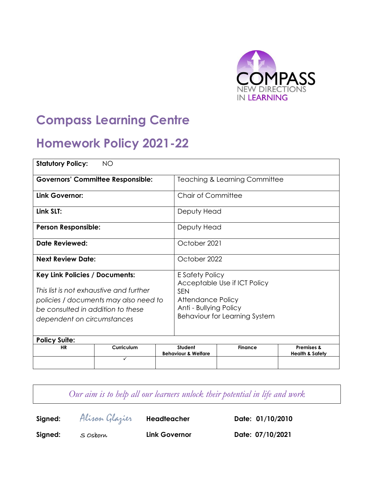

# **Compass Learning Centre**

## **Homework Policy 2021-22**

| <b>Statutory Policy:</b>                                                                                                                                                                     | ΝO              |                                          |                                                                                                                                                      |                |                                                     |  |
|----------------------------------------------------------------------------------------------------------------------------------------------------------------------------------------------|-----------------|------------------------------------------|------------------------------------------------------------------------------------------------------------------------------------------------------|----------------|-----------------------------------------------------|--|
| <b>Governors' Committee Responsible:</b>                                                                                                                                                     |                 | <b>Teaching &amp; Learning Committee</b> |                                                                                                                                                      |                |                                                     |  |
| Link Governor:                                                                                                                                                                               |                 | <b>Chair of Committee</b>                |                                                                                                                                                      |                |                                                     |  |
| Link SLT:                                                                                                                                                                                    |                 | Deputy Head                              |                                                                                                                                                      |                |                                                     |  |
| <b>Person Responsible:</b>                                                                                                                                                                   |                 | Deputy Head                              |                                                                                                                                                      |                |                                                     |  |
| Date Reviewed:                                                                                                                                                                               |                 | October 2021                             |                                                                                                                                                      |                |                                                     |  |
| <b>Next Review Date:</b>                                                                                                                                                                     |                 |                                          | October 2022                                                                                                                                         |                |                                                     |  |
| <b>Key Link Policies / Documents:</b><br>This list is not exhaustive and further<br>policies / documents may also need to<br>be consulted in addition to these<br>dependent on circumstances |                 |                                          | E Safety Policy<br>Acceptable Use if ICT Policy<br><b>SEN</b><br>Attendance Policy<br>Anti - Bullying Policy<br><b>Behaviour for Learning System</b> |                |                                                     |  |
| <b>Policy Suite:</b>                                                                                                                                                                         |                 |                                          |                                                                                                                                                      |                |                                                     |  |
| <b>HR</b>                                                                                                                                                                                    | Curriculum<br>✓ |                                          | Student<br><b>Behaviour &amp; Welfare</b>                                                                                                            | <b>Finance</b> | <b>Premises &amp;</b><br><b>Health &amp; Safety</b> |  |

*Our aim is to help all our learners unlock their potential in life and work*

**Signed:** Alison Glazier **Headteacher Date: 01/10/2010**

**Signed:** S Osborn **Link Governor Date: 07/10/2021**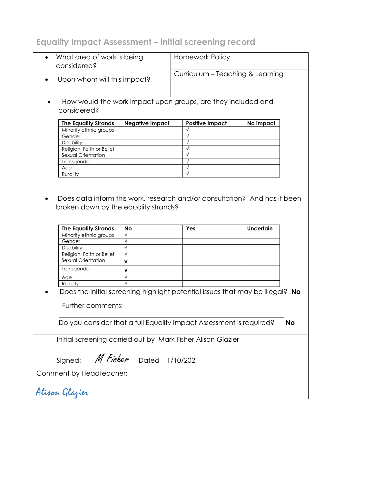### **Equality Impact Assessment – initial screening record**

| What area of work is being<br>considered? |                                      |                        | Homework Policy                                                               |                  |           |
|-------------------------------------------|--------------------------------------|------------------------|-------------------------------------------------------------------------------|------------------|-----------|
|                                           | Upon whom will this impact?          |                        | Curriculum - Teaching & Learning                                              |                  |           |
|                                           |                                      |                        | How would the work impact upon groups, are they included and                  |                  |           |
| $\bullet$                                 | considered?                          |                        |                                                                               |                  |           |
|                                           | <b>The Equality Strands</b>          | <b>Negative Impact</b> | <b>Positive Impact</b>                                                        | No impact        |           |
|                                           | Minority ethnic groups               |                        |                                                                               |                  |           |
|                                           | Gender                               |                        | $\sqrt{}$                                                                     |                  |           |
|                                           | Disability                           |                        | $\sqrt{}$                                                                     |                  |           |
|                                           | Religion, Faith or Belief            |                        | $\sqrt{}$                                                                     |                  |           |
|                                           | Sexual Orientation                   |                        | $\sqrt{}$                                                                     |                  |           |
|                                           | Transgender                          |                        | $\sqrt{ }$                                                                    |                  |           |
|                                           | Age                                  |                        | $\sqrt{}$                                                                     |                  |           |
|                                           | Rurality                             |                        | $\sqrt{}$                                                                     |                  |           |
|                                           |                                      |                        |                                                                               |                  |           |
|                                           |                                      |                        | Does data inform this work, research and/or consultation? And has it been     |                  |           |
|                                           | broken down by the equality strands? |                        |                                                                               |                  |           |
|                                           |                                      |                        |                                                                               |                  |           |
|                                           |                                      |                        |                                                                               |                  |           |
|                                           |                                      |                        |                                                                               |                  |           |
|                                           |                                      |                        |                                                                               |                  |           |
|                                           | <b>The Equality Strands</b>          | <b>No</b>              | Yes                                                                           | <b>Uncertain</b> |           |
|                                           | Minority ethnic groups               | $\sqrt{ }$             |                                                                               |                  |           |
|                                           | Gender                               |                        |                                                                               |                  |           |
|                                           | Disability                           | $\sqrt{ }$             |                                                                               |                  |           |
|                                           | Religion, Faith or Belief            | $\sqrt{ }$             |                                                                               |                  |           |
|                                           | Sexual Orientation                   | $\sqrt{ }$             |                                                                               |                  |           |
|                                           | Transgender                          | V                      |                                                                               |                  |           |
|                                           | Age                                  | $\sqrt{ }$             |                                                                               |                  |           |
|                                           | Rurality                             |                        |                                                                               |                  |           |
|                                           |                                      |                        |                                                                               |                  |           |
|                                           |                                      |                        | Does the initial screening highlight potential issues that may be illegal? No |                  |           |
|                                           |                                      |                        |                                                                               |                  |           |
|                                           | Further comments:-                   |                        |                                                                               |                  |           |
|                                           |                                      |                        |                                                                               |                  |           |
|                                           |                                      |                        |                                                                               |                  |           |
|                                           |                                      |                        | Do you consider that a full Equality Impact Assessment is required?           |                  | <b>No</b> |
|                                           |                                      |                        |                                                                               |                  |           |
|                                           |                                      |                        | Initial screening carried out by Mark Fisher Alison Glazier                   |                  |           |
|                                           |                                      |                        |                                                                               |                  |           |
|                                           |                                      |                        |                                                                               |                  |           |
|                                           |                                      |                        |                                                                               |                  |           |
|                                           | M Fisher<br>Signed:                  | Dated                  | 1/10/2021                                                                     |                  |           |
|                                           |                                      |                        |                                                                               |                  |           |
|                                           | Comment by Headteacher:              |                        |                                                                               |                  |           |
|                                           | Alisan Glazier                       |                        |                                                                               |                  |           |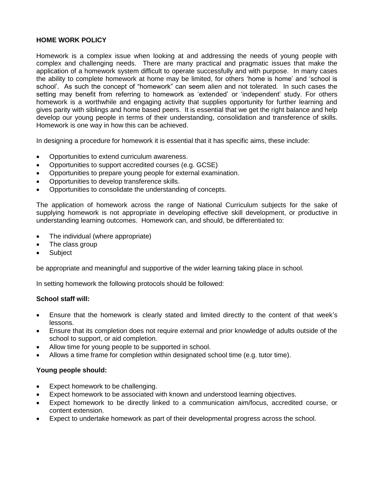### **HOME WORK POLICY**

Homework is a complex issue when looking at and addressing the needs of young people with complex and challenging needs. There are many practical and pragmatic issues that make the application of a homework system difficult to operate successfully and with purpose. In many cases the ability to complete homework at home may be limited, for others 'home is home' and 'school is school'. As such the concept of "homework" can seem alien and not tolerated. In such cases the setting may benefit from referring to homework as 'extended' or 'independent' study. For others homework is a worthwhile and engaging activity that supplies opportunity for further learning and gives parity with siblings and home based peers. It is essential that we get the right balance and help develop our young people in terms of their understanding, consolidation and transference of skills. Homework is one way in how this can be achieved.

In designing a procedure for homework it is essential that it has specific aims, these include:

- Opportunities to extend curriculum awareness.
- Opportunities to support accredited courses (e.g. GCSE)
- Opportunities to prepare young people for external examination.
- Opportunities to develop transference skills.
- Opportunities to consolidate the understanding of concepts.

The application of homework across the range of National Curriculum subjects for the sake of supplying homework is not appropriate in developing effective skill development, or productive in understanding learning outcomes. Homework can, and should, be differentiated to:

- The individual (where appropriate)
- The class group
- Subject

be appropriate and meaningful and supportive of the wider learning taking place in school.

In setting homework the following protocols should be followed:

#### **School staff will:**

- Ensure that the homework is clearly stated and limited directly to the content of that week's lessons.
- Ensure that its completion does not require external and prior knowledge of adults outside of the school to support, or aid completion.
- Allow time for young people to be supported in school.
- Allows a time frame for completion within designated school time (e.g. tutor time).

#### **Young people should:**

- Expect homework to be challenging.
- Expect homework to be associated with known and understood learning objectives.
- Expect homework to be directly linked to a communication aim/focus, accredited course, or content extension.
- Expect to undertake homework as part of their developmental progress across the school.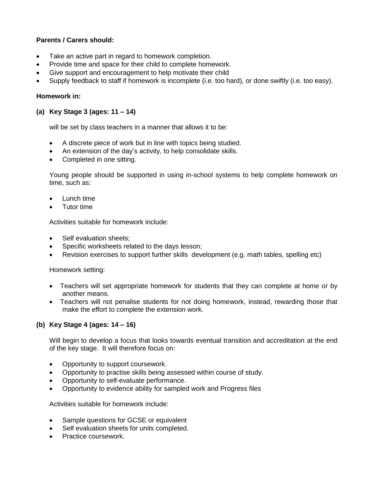### **Parents / Carers should:**

- Take an active part in regard to homework completion.
- Provide time and space for their child to complete homework.
- Give support and encouragement to help motivate their child
- Supply feedback to staff if homework is incomplete (i.e. too hard), or done swiftly (i.e. too easy).

### **Homework in:**

#### **(a) Key Stage 3 (ages: 11 – 14)**

will be set by class teachers in a manner that allows it to be:

- A discrete piece of work but in line with topics being studied.
- An extension of the day's activity, to help consolidate skills.
- Completed in one sitting.

Young people should be supported in using in-school systems to help complete homework on time, such as:

- Lunch time
- Tutor time

Activities suitable for homework include:

- Self evaluation sheets;
- Specific worksheets related to the days lesson;
- Revision exercises to support further skills development (e.g. math tables, spelling etc)

Homework setting:

- Teachers will set appropriate homework for students that they can complete at home or by another means.
- Teachers will not penalise students for not doing homework, instead, rewarding those that make the effort to complete the extension work.

#### **(b) Key Stage 4 (ages: 14 – 16)**

Will begin to develop a focus that looks towards eventual transition and accreditation at the end of the key stage. It will therefore focus on:

- Opportunity to support coursework.
- Opportunity to practise skills being assessed within course of study.
- Opportunity to self-evaluate performance.
- Opportunity to evidence ability for sampled work and Progress files

Activities suitable for homework include:

- Sample questions for GCSE or equivalent
- Self evaluation sheets for units completed.
- Practice coursework.